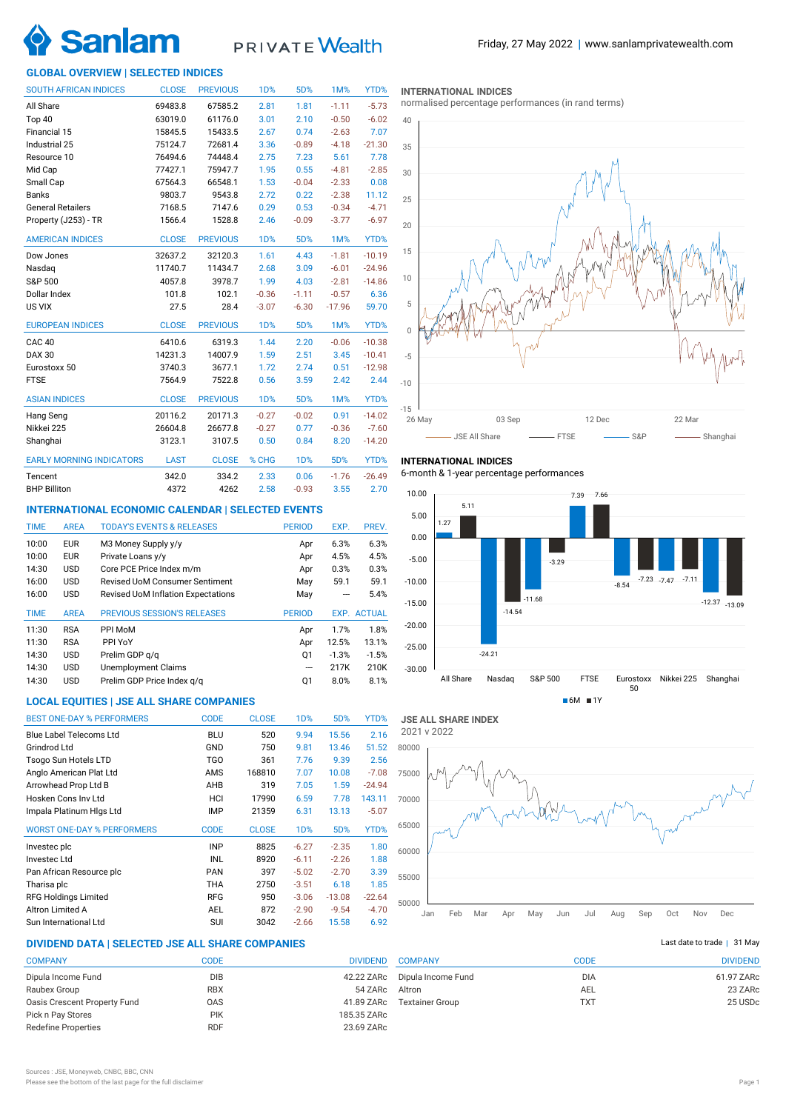

# PRIVATE Wealth

# **GLOBAL OVERVIEW | SELECTED INDICES**

| <b>SOUTH AFRICAN INDICES</b>    | <b>CLOSE</b> | <b>PREVIOUS</b> | 1D%              | 5D%        | 1M%      | YTD%     |
|---------------------------------|--------------|-----------------|------------------|------------|----------|----------|
| All Share                       | 69483.8      | 67585.2         | 2.81             | 1.81       | $-1.11$  | $-5.73$  |
| Top 40                          | 63019.0      | 61176.0         | 3.01             | 2.10       | $-0.50$  | $-6.02$  |
| Financial 15                    | 15845.5      | 15433.5         | 2.67             | 0.74       | $-2.63$  | 7.07     |
| Industrial 25                   | 75124.7      | 72681.4         | 3.36             | $-0.89$    | $-4.18$  | $-21.30$ |
| Resource 10                     | 76494.6      | 74448.4         | 2.75             | 7.23       | 5.61     | 7.78     |
| Mid Cap                         | 77427.1      | 75947.7         | 1.95             | 0.55       | $-4.81$  | $-2.85$  |
| Small Cap                       | 67564.3      | 66548.1         | 1.53             | $-0.04$    | $-2.33$  | 0.08     |
| <b>Banks</b>                    | 9803.7       | 9543.8          | 2.72             | 0.22       | $-2.38$  | 11.12    |
| <b>General Retailers</b>        | 7168.5       | 7147.6          | 0.29             | 0.53       | $-0.34$  | $-4.71$  |
| Property (J253) - TR            | 1566.4       | 1528.8          | 2.46             | $-0.09$    | $-3.77$  | $-6.97$  |
| <b>AMERICAN INDICES</b>         | <b>CLOSE</b> | <b>PREVIOUS</b> | 1 <sub>D</sub> % | 5D%        | 1M%      | YTD%     |
| Dow Jones                       | 32637.2      | 32120.3         | 1.61             | 4.43       | $-1.81$  | $-10.19$ |
| Nasdaq                          | 11740.7      | 11434.7         | 2.68             | 3.09       | $-6.01$  | $-24.96$ |
| S&P 500                         | 4057.8       | 3978.7          | 1.99             | 4.03       | $-2.81$  | $-14.86$ |
| Dollar Index                    | 101.8        | 102.1           | $-0.36$          | $-1.11$    | $-0.57$  | 6.36     |
| US VIX                          | 27.5         | 28.4            | $-3.07$          | $-6.30$    | $-17.96$ | 59.70    |
| <b>EUROPEAN INDICES</b>         | <b>CLOSE</b> | <b>PREVIOUS</b> | <b>1D%</b>       | 5D%        | 1M%      | YTD%     |
| CAC <sub>40</sub>               | 6410.6       | 6319.3          | 1.44             | 2.20       | $-0.06$  | $-10.38$ |
| <b>DAX 30</b>                   | 14231.3      | 14007.9         | 1.59             | 2.51       | 3.45     | $-10.41$ |
| Eurostoxx 50                    | 3740.3       | 3677.1          | 1.72             | 2.74       | 0.51     | $-12.98$ |
| <b>FTSE</b>                     | 7564.9       | 7522.8          | 0.56             | 3.59       | 2.42     | 2.44     |
| <b>ASIAN INDICES</b>            | <b>CLOSE</b> | <b>PREVIOUS</b> | 1 <sub>D</sub> % | 5D%        | 1M%      | YTD%     |
| Hang Seng                       | 20116.2      | 20171.3         | $-0.27$          | $-0.02$    | 0.91     | $-14.02$ |
| Nikkei 225                      | 26604.8      | 26677.8         | $-0.27$          | 0.77       | $-0.36$  | $-7.60$  |
| Shanghai                        | 3123.1       | 3107.5          | 0.50             | 0.84       | 8.20     | $-14.20$ |
| <b>EARLY MORNING INDICATORS</b> | <b>LAST</b>  | <b>CLOSE</b>    | % CHG            | <b>1D%</b> | 5D%      | YTD%     |
| Tencent                         | 342.0        | 334.2           | 2.33             | 0.06       | $-1.76$  | $-26.49$ |
| <b>BHP Billiton</b>             | 4372         | 4262            | 2.58             | $-0.93$    | 3.55     | 2.70     |

# **INTERNATIONAL ECONOMIC CALENDAR | SELECTED EVENTS**

| <b>TIME</b> | <b>AREA</b> | <b>TODAY'S EVENTS &amp; RELEASES</b>      | <b>PERIOD</b> | EXP.    | PREV.              |
|-------------|-------------|-------------------------------------------|---------------|---------|--------------------|
| 10:00       | <b>EUR</b>  | M3 Money Supply y/y                       | Apr           | 6.3%    | 6.3%               |
| 10:00       | <b>EUR</b>  | Private Loans y/y                         | Apr           | 4.5%    | 4.5%               |
| 14:30       | <b>USD</b>  | Core PCE Price Index m/m                  | Apr           | 0.3%    | 0.3%               |
| 16:00       | <b>USD</b>  | <b>Revised UoM Consumer Sentiment</b>     | May           | 59.1    | 59.1               |
| 16:00       | <b>USD</b>  | <b>Revised UoM Inflation Expectations</b> | May           |         | 5.4%               |
|             |             |                                           |               |         |                    |
| <b>TIME</b> | <b>AREA</b> | <b>PREVIOUS SESSION'S RELEASES</b>        | <b>PERIOD</b> |         | <b>EXP. ACTUAL</b> |
| 11:30       | <b>RSA</b>  | PPI MoM                                   | Apr           | 1.7%    | 1.8%               |
| 11:30       | <b>RSA</b>  | PPI YoY                                   | Apr           | 12.5%   | 13.1%              |
| 14:30       | <b>USD</b>  | Prelim GDP g/g                            | 01            | $-1.3%$ | $-1.5%$            |
| 14:30       | <b>USD</b>  | <b>Unemployment Claims</b>                | ---           | 217K    | 210K               |
| 14:30       | <b>USD</b>  | Prelim GDP Price Index q/q                | Q1            | 8.0%    | 8.1%               |

# **LOCAL EQUITIES | JSE ALL SHARE COMPANIES**

| <b>BEST ONE-DAY % PERFORMERS</b>  | <b>CODE</b> | <b>CLOSE</b> | 1 <sub>D</sub> % | 5D%      | YTD%     |
|-----------------------------------|-------------|--------------|------------------|----------|----------|
|                                   |             |              |                  |          |          |
| Blue Label Telecoms Ltd           | <b>BLU</b>  | 520          | 9.94             | 15.56    | 2.16     |
| Grindrod Ltd                      | GND         | 750          | 9.81             | 13.46    | 51.52    |
| Tsogo Sun Hotels LTD              | <b>TGO</b>  | 361          | 7.76             | 9.39     | 2.56     |
| Anglo American Plat Ltd           | AMS         | 168810       | 7.07             | 10.08    | $-7.08$  |
| Arrowhead Prop Ltd B              | AHB         | 319          | 7.05             | 1.59     | $-24.94$ |
| Hosken Cons Inv Ltd               | HCI         | 17990        | 6.59             | 7.78     | 143.11   |
| Impala Platinum Higs Ltd          | <b>IMP</b>  | 21359        | 6.31             | 13.13    | $-5.07$  |
| <b>WORST ONE-DAY % PERFORMERS</b> | <b>CODE</b> | <b>CLOSE</b> | 1 <sub>D</sub> % | 5D%      | YTD%     |
| Investec plc                      | <b>INP</b>  | 8825         | $-6.27$          | $-2.35$  | 1.80     |
| Investec Ltd                      | INL         | 8920         | $-6.11$          | $-2.26$  | 1.88     |
| Pan African Resource plc          | <b>PAN</b>  | 397          | $-5.02$          | $-2.70$  | 3.39     |
| Tharisa plc                       | THA         | 2750         | $-3.51$          | 6.18     | 1.85     |
| <b>RFG Holdings Limited</b>       | <b>RFG</b>  | 950          | $-3.06$          | $-13.08$ | $-22.64$ |
| Altron Limited A                  | <b>AEL</b>  | 872          | $-2.90$          | $-9.54$  | $-4.70$  |
| Sun International Ltd             | SUI         | 3042         | $-2.66$          | 15.58    | 6.92     |

# **DIVIDEND DATA | SELECTED JSE ALL SHARE COMPANIES |**

| <b>COMPANY</b>               | CODE       | <b>DIVIDEND</b> |
|------------------------------|------------|-----------------|
| Dipula Income Fund           | <b>DIB</b> | 42.22 ZARc      |
| Raubex Group                 | <b>RBX</b> | 54 ZARc         |
| Oasis Crescent Property Fund | 0AS        | 41.89 ZARc      |
| Pick n Pay Stores            | <b>PIK</b> | 185.35 ZARc     |
| <b>Redefine Properties</b>   | <b>RDF</b> | 23.69 ZARc      |
|                              |            |                 |

**INTERNATIONAL INDICES**

normalised percentage performances (in rand terms)



**INTERNATIONAL INDICES**

6-month & 1-year percentage performances





# Last date to trade  $|$  31 May

| <b>COMPANY</b>         | CODE       | <b>DIVIDEND</b> |
|------------------------|------------|-----------------|
| Dipula Income Fund     | <b>DIA</b> | 61.97 ZARc      |
| Altron                 | AEL        | 23 ZARc         |
| <b>Textainer Group</b> | <b>TXT</b> | 25 USDc         |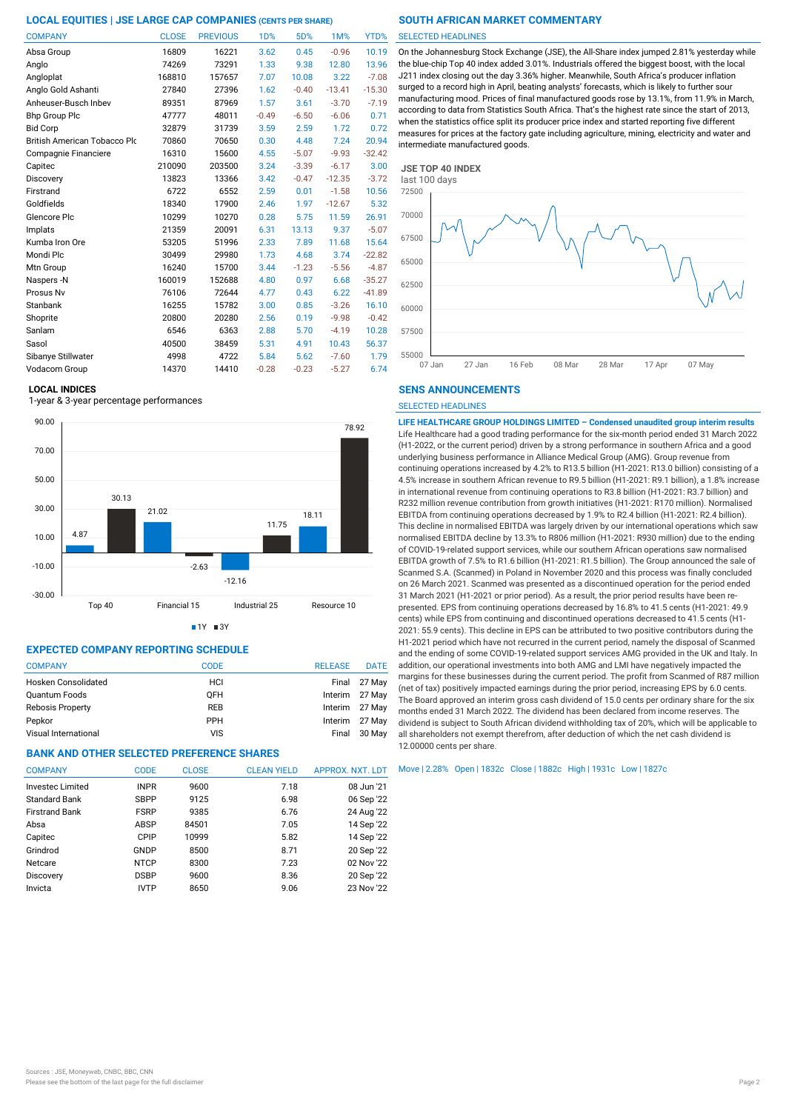| <b>COMPANY</b>                      | <b>CLOSE</b> | <b>PREVIOUS</b> | 1 <sub>D</sub> % | 5D%     | 1M%      | YTD%     |
|-------------------------------------|--------------|-----------------|------------------|---------|----------|----------|
| Absa Group                          | 16809        | 16221           | 3.62             | 0.45    | $-0.96$  | 10.19    |
| Anglo                               | 74269        | 73291           | 1.33             | 9.38    | 12.80    | 13.96    |
| Angloplat                           | 168810       | 157657          | 7.07             | 10.08   | 3.22     | $-7.08$  |
| Anglo Gold Ashanti                  | 27840        | 27396           | 1.62             | $-0.40$ | $-13.41$ | $-15.30$ |
| Anheuser-Busch Inbev                | 89351        | 87969           | 1.57             | 3.61    | $-3.70$  | $-7.19$  |
| <b>Bhp Group Plc</b>                | 47777        | 48011           | $-0.49$          | $-6.50$ | $-6.06$  | 0.71     |
| <b>Bid Corp</b>                     | 32879        | 31739           | 3.59             | 2.59    | 1.72     | 0.72     |
| <b>British American Tobacco Plo</b> | 70860        | 70650           | 0.30             | 4.48    | 7.24     | 20.94    |
| Compagnie Financiere                | 16310        | 15600           | 4.55             | $-5.07$ | $-9.93$  | $-32.42$ |
| Capitec                             | 210090       | 203500          | 3.24             | $-3.39$ | $-6.17$  | 3.00     |
| Discovery                           | 13823        | 13366           | 3.42             | $-0.47$ | $-12.35$ | $-3.72$  |
| Firstrand                           | 6722         | 6552            | 2.59             | 0.01    | $-1.58$  | 10.56    |
| Goldfields                          | 18340        | 17900           | 2.46             | 1.97    | $-12.67$ | 5.32     |
| Glencore Plc                        | 10299        | 10270           | 0.28             | 5.75    | 11.59    | 26.91    |
| Implats                             | 21359        | 20091           | 6.31             | 13.13   | 9.37     | $-5.07$  |
| Kumba Iron Ore                      | 53205        | 51996           | 2.33             | 7.89    | 11.68    | 15.64    |
| Mondi Plc                           | 30499        | 29980           | 1.73             | 4.68    | 3.74     | $-22.82$ |
| Mtn Group                           | 16240        | 15700           | 3.44             | $-1.23$ | $-5.56$  | $-4.87$  |
| Naspers-N                           | 160019       | 152688          | 4.80             | 0.97    | 6.68     | $-35.27$ |
| Prosus Nv                           | 76106        | 72644           | 4.77             | 0.43    | 6.22     | $-41.89$ |
| Stanbank                            | 16255        | 15782           | 3.00             | 0.85    | $-3.26$  | 16.10    |
| Shoprite                            | 20800        | 20280           | 2.56             | 0.19    | $-9.98$  | $-0.42$  |
| Sanlam                              | 6546         | 6363            | 2.88             | 5.70    | $-4.19$  | 10.28    |
| Sasol                               | 40500        | 38459           | 5.31             | 4.91    | 10.43    | 56.37    |
| Sibanye Stillwater                  | 4998         | 4722            | 5.84             | 5.62    | $-7.60$  | 1.79     |
| Vodacom Group                       | 14370        | 14410           | $-0.28$          | $-0.23$ | $-5.27$  | 6.74     |

### **LOCAL INDICES**

1-year & 3-year percentage performances





# **EXPECTED COMPANY REPORTING SCHEDULE**

| <b>COMPANY</b>          | CODE       | <b>RELEASE</b> | <b>DATE</b>    |
|-------------------------|------------|----------------|----------------|
| Hosken Consolidated     | HCI        |                | Final 27 May   |
| Quantum Foods           | <b>OFH</b> |                | Interim 27 May |
| <b>Rebosis Property</b> | <b>REB</b> |                | Interim 27 May |
| Pepkor                  | <b>PPH</b> |                | Interim 27 May |
| Visual International    | <b>VIS</b> | Final          | 30 May         |

# **BANK AND OTHER SELECTED PREFERENCE SHARES**

| <b>COMPANY</b>          | <b>CODE</b> | <b>CLOSE</b> | <b>CLEAN YIELD</b> | APPROX. NXT. LDT |
|-------------------------|-------------|--------------|--------------------|------------------|
| <b>Invested Limited</b> | <b>INPR</b> | 9600         | 7.18               | 08 Jun '21       |
| <b>Standard Bank</b>    | <b>SBPP</b> | 9125         | 6.98               | 06 Sep '22       |
| <b>Firstrand Bank</b>   | <b>FSRP</b> | 9385         | 6.76               | 24 Aug '22       |
| Absa                    | ABSP        | 84501        | 7.05               | 14 Sep '22       |
| Capitec                 | CPIP        | 10999        | 5.82               | 14 Sep '22       |
| Grindrod                | GNDP        | 8500         | 8.71               | 20 Sep '22       |
| Netcare                 | <b>NTCP</b> | 8300         | 7.23               | 02 Nov '22       |
| Discovery               | <b>DSBP</b> | 9600         | 8.36               | 20 Sep '22       |
| Invicta                 | <b>IVTP</b> | 8650         | 9.06               | 23 Nov '22       |

### SELECTED HEADLINES

On the Johannesburg Stock Exchange (JSE), the All-Share index jumped 2.81% yesterday while the blue-chip Top 40 index added 3.01%. Industrials offered the biggest boost, with the local J211 index closing out the day 3.36% higher. Meanwhile, South Africa's producer inflation surged to a record high in April, beating analysts' forecasts, which is likely to further sour manufacturing mood. Prices of final manufactured goods rose by 13.1%, from 11.9% in March, according to data from Statistics South Africa. That's the highest rate since the start of 2013, when the statistics office split its producer price index and started reporting five different measures for prices at the factory gate including agriculture, mining, electricity and water and intermediate manufactured goods.



# **SENS ANNOUNCEMENTS**

SELECTED HEADLINES

**LIFE HEALTHCARE GROUP HOLDINGS LIMITED – Condensed unaudited group interim results** Life Healthcare had a good trading performance for the six-month period ended 31 March 2022 (H1-2022, or the current period) driven by a strong performance in southern Africa and a good underlying business performance in Alliance Medical Group (AMG). Group revenue from continuing operations increased by 4.2% to R13.5 billion (H1-2021: R13.0 billion) consisting of a 4.5% increase in southern African revenue to R9.5 billion (H1-2021: R9.1 billion), a 1.8% increase in international revenue from continuing operations to R3.8 billion (H1-2021: R3.7 billion) and R232 million revenue contribution from growth initiatives (H1-2021: R170 million). Normalised EBITDA from continuing operations decreased by 1.9% to R2.4 billion (H1-2021: R2.4 billion). This decline in normalised EBITDA was largely driven by our international operations which saw normalised EBITDA decline by 13.3% to R806 million (H1-2021: R930 million) due to the ending of COVID-19-related support services, while our southern African operations saw normalised EBITDA growth of 7.5% to R1.6 billion (H1-2021: R1.5 billion). The Group announced the sale of Scanmed S.A. (Scanmed) in Poland in November 2020 and this process was finally concluded on 26 March 2021. Scanmed was presented as a discontinued operation for the period ended 31 March 2021 (H1-2021 or prior period). As a result, the prior period results have been represented. EPS from continuing operations decreased by 16.8% to 41.5 cents (H1-2021: 49.9 cents) while EPS from continuing and discontinued operations decreased to 41.5 cents (H1- 2021: 55.9 cents). This decline in EPS can be attributed to two positive contributors during the H1-2021 period which have not recurred in the current period, namely the disposal of Scanmed and the ending of some COVID-19-related support services AMG provided in the UK and Italy. In addition, our operational investments into both AMG and LMI have negatively impacted the margins for these businesses during the current period. The profit from Scanmed of R87 million (net of tax) positively impacted earnings during the prior period, increasing EPS by 6.0 cents. The Board approved an interim gross cash dividend of 15.0 cents per ordinary share for the six months ended 31 March 2022. The dividend has been declared from income reserves. The dividend is subject to South African dividend withholding tax of 20%, which will be applicable to all shareholders not exempt therefrom, after deduction of which the net cash dividend is 12.00000 cents per share.

Move | 2.28% Open | 1832c Close | 1882c High | 1931c Low | 1827c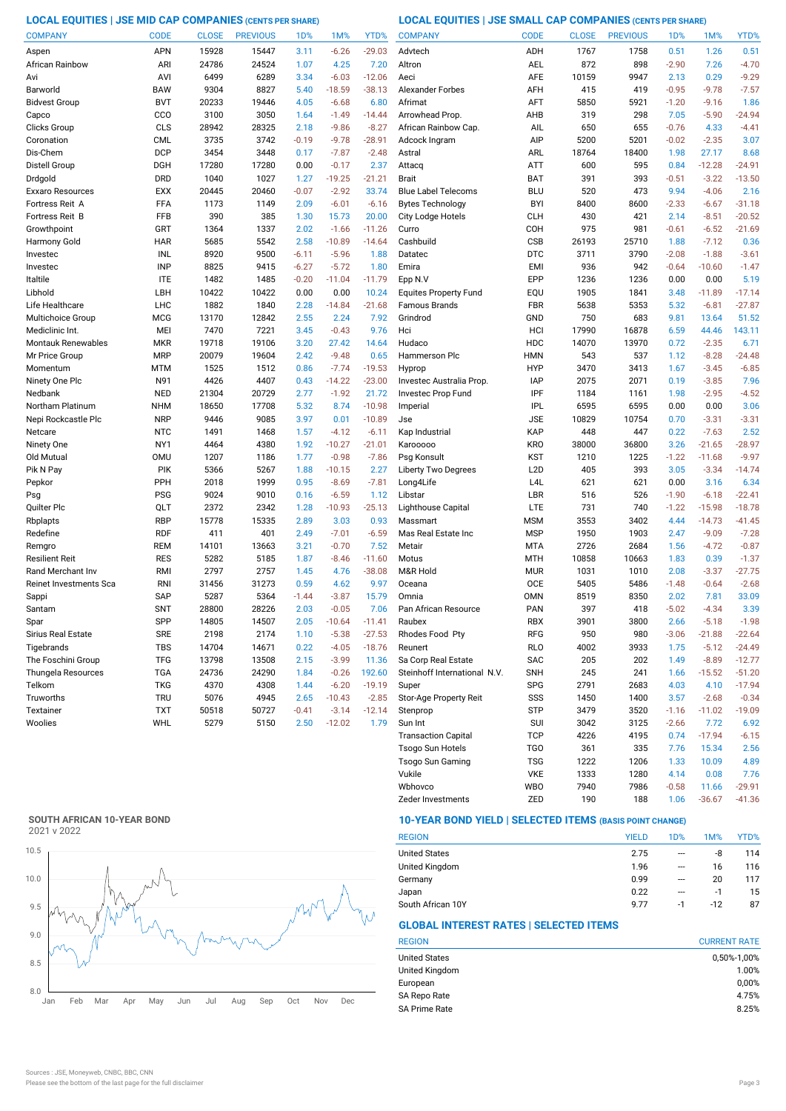**LOCAL EQUITIES | JSE MID CAP COMPANIES (CENTS PER SHARE) LOCAL EQUITIES | JSE SMALL CAP COMPANIES (CENTS PER SHARE)**

| <b>COMPANY</b>            | <b>CODE</b> | <b>CLOSE</b> | <b>PREVIOUS</b> | 1 <sub>D</sub> % | 1M%      | YTD%     | <b>COMPANY</b>               | <b>CODE</b>      | <b>CLOSE</b> | <b>PREVIOUS</b> | 1D%     | 1M%      | YTD%     |
|---------------------------|-------------|--------------|-----------------|------------------|----------|----------|------------------------------|------------------|--------------|-----------------|---------|----------|----------|
| Aspen                     | <b>APN</b>  | 15928        | 15447           | 3.11             | $-6.26$  | $-29.03$ | Advtech                      | ADH              | 1767         | 1758            | 0.51    | 1.26     | 0.51     |
| African Rainbow           | ARI         | 24786        | 24524           | 1.07             | 4.25     | 7.20     | Altron                       | AEL              | 872          | 898             | $-2.90$ | 7.26     | $-4.70$  |
| Avi                       | AVI         | 6499         | 6289            | 3.34             | $-6.03$  | $-12.06$ | Aeci                         | <b>AFE</b>       | 10159        | 9947            | 2.13    | 0.29     | $-9.29$  |
| Barworld                  | <b>BAW</b>  | 9304         | 8827            | 5.40             | $-18.59$ | $-38.13$ | <b>Alexander Forbes</b>      | AFH              | 415          | 419             | $-0.95$ | $-9.78$  | $-7.57$  |
| <b>Bidvest Group</b>      | <b>BVT</b>  | 20233        | 19446           | 4.05             | $-6.68$  | 6.80     | Afrimat                      | AFT              | 5850         | 5921            | $-1.20$ | $-9.16$  | 1.86     |
| Capco                     | CCO         | 3100         | 3050            | 1.64             | $-1.49$  | $-14.44$ | Arrowhead Prop.              | AHB              | 319          | 298             | 7.05    | $-5.90$  | $-24.94$ |
| Clicks Group              | CLS         | 28942        | 28325           | 2.18             | $-9.86$  | $-8.27$  | African Rainbow Cap.         | AIL              | 650          | 655             | $-0.76$ | 4.33     | $-4.41$  |
| Coronation                | <b>CML</b>  | 3735         | 3742            | $-0.19$          | $-9.78$  | $-28.91$ | Adcock Ingram                | AIP              | 5200         | 5201            | $-0.02$ | $-2.35$  | 3.07     |
| Dis-Chem                  | <b>DCP</b>  | 3454         | 3448            | 0.17             | $-7.87$  | $-2.48$  | Astral                       | ARL              | 18764        | 18400           | 1.98    | 27.17    | 8.68     |
| Distell Group             | <b>DGH</b>  | 17280        | 17280           | 0.00             | $-0.17$  | 2.37     | Attacq                       | ATT              | 600          | 595             | 0.84    | $-12.28$ | $-24.91$ |
| Drdgold                   | <b>DRD</b>  | 1040         | 1027            | 1.27             | $-19.25$ | $-21.21$ | <b>Brait</b>                 | <b>BAT</b>       | 391          | 393             | $-0.51$ | $-3.22$  | $-13.50$ |
| Exxaro Resources          | <b>EXX</b>  | 20445        | 20460           | $-0.07$          | $-2.92$  | 33.74    | <b>Blue Label Telecoms</b>   | <b>BLU</b>       | 520          | 473             | 9.94    | $-4.06$  | 2.16     |
| Fortress Reit A           | FFA         | 1173         | 1149            | 2.09             | $-6.01$  | $-6.16$  | <b>Bytes Technology</b>      | <b>BYI</b>       | 8400         | 8600            | $-2.33$ | $-6.67$  | $-31.18$ |
| Fortress Reit B           | FFB         | 390          | 385             | 1.30             | 15.73    | 20.00    | City Lodge Hotels            | <b>CLH</b>       | 430          | 421             | 2.14    | $-8.51$  | $-20.52$ |
| Growthpoint               | GRT         | 1364         | 1337            | 2.02             | $-1.66$  | $-11.26$ | Curro                        | COH              | 975          | 981             | $-0.61$ | $-6.52$  | $-21.69$ |
| Harmony Gold              | <b>HAR</b>  | 5685         | 5542            | 2.58             | $-10.89$ | $-14.64$ | Cashbuild                    | <b>CSB</b>       | 26193        | 25710           | 1.88    | $-7.12$  | 0.36     |
| Investec                  | INL         | 8920         | 9500            | $-6.11$          | $-5.96$  | 1.88     | Datatec                      | <b>DTC</b>       | 3711         | 3790            | $-2.08$ | $-1.88$  | $-3.61$  |
| Investec                  | <b>INP</b>  | 8825         | 9415            | $-6.27$          | $-5.72$  | 1.80     | Emira                        | <b>EMI</b>       | 936          | 942             | $-0.64$ | $-10.60$ | $-1.47$  |
| Italtile                  | <b>ITE</b>  | 1482         | 1485            | $-0.20$          | $-11.04$ | $-11.79$ | Epp N.V                      | EPP              | 1236         | 1236            | 0.00    | 0.00     | 5.19     |
| Libhold                   | LBH         | 10422        | 10422           | 0.00             | 0.00     | 10.24    | <b>Equites Property Fund</b> | EQU              | 1905         | 1841            | 3.48    | $-11.89$ | $-17.14$ |
| Life Healthcare           | LHC         | 1882         | 1840            | 2.28             | $-14.84$ | $-21.68$ | <b>Famous Brands</b>         | <b>FBR</b>       | 5638         | 5353            | 5.32    | $-6.81$  | $-27.87$ |
| Multichoice Group         | <b>MCG</b>  | 13170        | 12842           | 2.55             | 2.24     | 7.92     | Grindrod                     | GND              | 750          | 683             | 9.81    | 13.64    | 51.52    |
| Mediclinic Int.           | MEI         | 7470         | 7221            | 3.45             | $-0.43$  | 9.76     | Hci                          | HCI              | 17990        | 16878           | 6.59    | 44.46    | 143.11   |
| <b>Montauk Renewables</b> | <b>MKR</b>  | 19718        | 19106           | 3.20             | 27.42    | 14.64    | Hudaco                       | HDC              | 14070        | 13970           | 0.72    | $-2.35$  | 6.71     |
| Mr Price Group            | <b>MRP</b>  | 20079        | 19604           | 2.42             | $-9.48$  | 0.65     | Hammerson Plc                | <b>HMN</b>       | 543          | 537             | 1.12    | $-8.28$  | $-24.48$ |
| Momentum                  | <b>MTM</b>  | 1525         | 1512            | 0.86             | $-7.74$  | $-19.53$ | Hyprop                       | <b>HYP</b>       | 3470         | 3413            | 1.67    | $-3.45$  | $-6.85$  |
| Ninety One Plc            | N91         | 4426         | 4407            | 0.43             | $-14.22$ | $-23.00$ | Investec Australia Prop.     | <b>IAP</b>       | 2075         | 2071            | 0.19    | $-3.85$  | 7.96     |
| Nedbank                   | <b>NED</b>  | 21304        | 20729           | 2.77             | $-1.92$  | 21.72    | Investec Prop Fund           | IPF              | 1184         | 1161            | 1.98    | $-2.95$  | $-4.52$  |
| Northam Platinum          | <b>NHM</b>  | 18650        | 17708           | 5.32             | 8.74     | $-10.98$ | Imperial                     | <b>IPL</b>       | 6595         | 6595            | 0.00    | 0.00     | 3.06     |
| Nepi Rockcastle Plc       | <b>NRP</b>  | 9446         | 9085            | 3.97             | 0.01     | $-10.89$ | Jse                          | <b>JSE</b>       | 10829        | 10754           | 0.70    | $-3.31$  | $-3.31$  |
| Netcare                   | <b>NTC</b>  | 1491         | 1468            | 1.57             | $-4.12$  | $-6.11$  | Kap Industrial               | KAP              | 448          | 447             | 0.22    | $-7.63$  | 2.52     |
| Ninety One                | NY1         | 4464         | 4380            | 1.92             | $-10.27$ | $-21.01$ | Karooooo                     | <b>KRO</b>       | 38000        | 36800           | 3.26    | $-21.65$ | $-28.97$ |
| Old Mutual                | <b>OMU</b>  | 1207         | 1186            | 1.77             | $-0.98$  | $-7.86$  | Psg Konsult                  | <b>KST</b>       | 1210         | 1225            | $-1.22$ | $-11.68$ | $-9.97$  |
| Pik N Pay                 | <b>PIK</b>  | 5366         | 5267            | 1.88             | $-10.15$ | 2.27     | <b>Liberty Two Degrees</b>   | L <sub>2</sub> D | 405          | 393             | 3.05    | $-3.34$  | $-14.74$ |
| Pepkor                    | PPH         | 2018         | 1999            | 0.95             | $-8.69$  | $-7.81$  | Long4Life                    | L <sub>4</sub> L | 621          | 621             | 0.00    | 3.16     | 6.34     |
| Psg                       | <b>PSG</b>  | 9024         | 9010            | 0.16             | $-6.59$  | 1.12     | Libstar                      | LBR              | 516          | 526             | $-1.90$ | $-6.18$  | $-22.41$ |
| Quilter Plc               | QLT         | 2372         | 2342            | 1.28             | $-10.93$ | $-25.13$ | Lighthouse Capital           | LTE              | 731          | 740             | $-1.22$ | $-15.98$ | $-18.78$ |
| Rbplapts                  | <b>RBP</b>  | 15778        | 15335           | 2.89             | 3.03     | 0.93     | Massmart                     | <b>MSM</b>       | 3553         | 3402            | 4.44    | $-14.73$ | $-41.45$ |
| Redefine                  | <b>RDF</b>  | 411          | 401             | 2.49             | $-7.01$  | $-6.59$  | Mas Real Estate Inc          | <b>MSP</b>       | 1950         | 1903            | 2.47    | $-9.09$  | $-7.28$  |
| Remgro                    | <b>REM</b>  | 14101        | 13663           | 3.21             | $-0.70$  | 7.52     | Metair                       | <b>MTA</b>       | 2726         | 2684            | 1.56    | $-4.72$  | $-0.87$  |
| Resilient Reit            | <b>RES</b>  | 5282         | 5185            | 1.87             | $-8.46$  | $-11.60$ | Motus                        | <b>MTH</b>       | 10858        | 10663           | 1.83    | 0.39     | $-1.37$  |
| Rand Merchant Inv         | RMI         | 2797         | 2757            | 1.45             | 4.76     | $-38.08$ | M&R Hold                     | <b>MUR</b>       | 1031         | 1010            | 2.08    | $-3.37$  | $-27.75$ |
| Reinet Investments Sca    | <b>RNI</b>  | 31456        | 31273           | 0.59             | 4.62     | 9.97     | Oceana                       | <b>OCE</b>       | 5405         | 5486            | $-1.48$ | $-0.64$  | $-2.68$  |
| Sappi                     | SAP         | 5287         | 5364            | $-1.44$          | $-3.87$  | 15.79    | Omnia                        | <b>OMN</b>       | 8519         | 8350            | 2.02    | 7.81     | 33.09    |
| Santam                    | <b>SNT</b>  | 28800        | 28226           | 2.03             | $-0.05$  | 7.06     | Pan African Resource         | <b>PAN</b>       | 397          | 418             | $-5.02$ | $-4.34$  | 3.39     |
| Spar                      | SPP         | 14805        | 14507           | 2.05             | -10.64   | $-11.41$ | Raubex                       | RBX              | 3901         | 3800            | 2.66    | $-5.18$  | $-1.98$  |
| Sirius Real Estate        | <b>SRE</b>  | 2198         | 2174            | 1.10             | $-5.38$  | $-27.53$ | Rhodes Food Pty              | RFG              | 950          | 980             | $-3.06$ | $-21.88$ | $-22.64$ |
| Tigebrands                | <b>TBS</b>  | 14704        | 14671           | 0.22             | $-4.05$  | $-18.76$ | Reunert                      | <b>RLO</b>       | 4002         | 3933            | 1.75    | $-5.12$  | $-24.49$ |
| The Foschini Group        | <b>TFG</b>  | 13798        | 13508           | 2.15             | $-3.99$  | 11.36    | Sa Corp Real Estate          | SAC              | 205          | 202             | 1.49    | $-8.89$  | $-12.77$ |
| Thungela Resources        | <b>TGA</b>  | 24736        | 24290           | 1.84             | $-0.26$  | 192.60   | Steinhoff International N.V. | <b>SNH</b>       | 245          | 241             | 1.66    | $-15.52$ | $-51.20$ |
| Telkom                    | <b>TKG</b>  | 4370         | 4308            | 1.44             | $-6.20$  | $-19.19$ | Super                        | <b>SPG</b>       | 2791         | 2683            | 4.03    | 4.10     | $-17.94$ |
| Truworths                 | <b>TRU</b>  | 5076         | 4945            | 2.65             | $-10.43$ | $-2.85$  | Stor-Age Property Reit       | SSS              | 1450         | 1400            | 3.57    | $-2.68$  | $-0.34$  |
| Textainer                 | <b>TXT</b>  | 50518        | 50727           | $-0.41$          | $-3.14$  | $-12.14$ | Stenprop                     | <b>STP</b>       | 3479         | 3520            | $-1.16$ | $-11.02$ | $-19.09$ |
| Woolies                   | WHL         | 5279         | 5150            | 2.50             | $-12.02$ | 1.79     | Sun Int                      | <b>SUI</b>       | 3042         | 3125            | $-2.66$ | 7.72     | 6.92     |
|                           |             |              |                 |                  |          |          | <b>Transaction Capital</b>   | <b>TCP</b>       | 4226         | 4195            | 0.74    | $-17.94$ | $-6.15$  |
|                           |             |              |                 |                  |          |          | <b>Tsogo Sun Hotels</b>      | <b>TGO</b>       | 361          | 335             | 7.76    | 15.34    | 2.56     |
|                           |             |              |                 |                  |          |          |                              |                  |              |                 |         |          |          |

# **SOUTH AFRICAN 10-YEAR BOND**



# **10-YEAR BOND YIELD | SELECTED ITEMS (BASIS POINT CHANGE)**

| <b>REGION</b>        | <b>YIELD</b> | 1D% | 1M%   | YTD% |
|----------------------|--------------|-----|-------|------|
| <b>United States</b> | 2.75         | --- | -8    | 114  |
| United Kingdom       | 1.96         | --- | 16    | 116  |
| Germany              | 0.99         | --- | 20    | 117  |
| Japan                | 0.22         | --- | -1    | 15   |
| South African 10Y    | 9.77         | -1  | $-12$ | 87   |

Wbhovco WBO 7940 7986 -0.58 11.66 -29.91 Vukile VKE 1333 1280 4.14 0.08

Zeder Investments 2ED 190 188 1.06 -36.67 -41.36

Tsogo Sun Gaming TSG 1222 1206 1.33 10.09 4.89

# **GLOBAL INTEREST RATES | SELECTED ITEMS**

| <b>REGION</b>        | <b>CURRENT RATE</b> |
|----------------------|---------------------|
| <b>United States</b> | 0,50%-1,00%         |
| United Kingdom       | 1.00%               |
| European             | 0,00%               |
| SA Repo Rate         | 4.75%               |
| <b>SA Prime Rate</b> | 8.25%               |

7.76<br>29.91-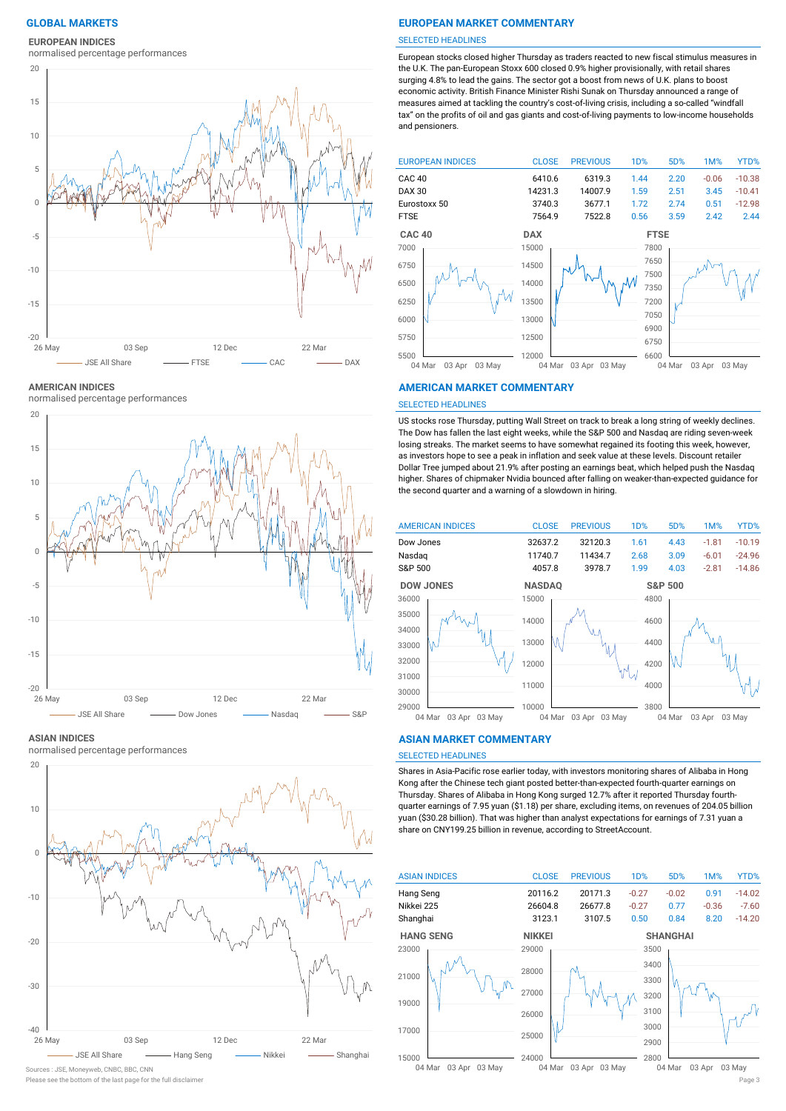**EUROPEAN INDICES**

normalised percentage performances



**AMERICAN INDICES**

normalised percentage performances



#### **ASIAN INDICES**

normalised percentage performances



# Sources : JSE, Moneyweb, CNBC, BBC, CNN

Please see the bottom of the last page for the full disclaimer Page 3

# **GLOBAL MARKETS EUROPEAN MARKET COMMENTARY**

#### SELECTED HEADLINES

European stocks closed higher Thursday as traders reacted to new fiscal stimulus measures in the U.K. The pan-European Stoxx 600 closed 0.9% higher provisionally, with retail shares surging 4.8% to lead the gains. The sector got a boost from news of U.K. plans to boost economic activity. British Finance Minister Rishi Sunak on Thursday announced a range of measures aimed at tackling the country's cost-of-living crisis, including a so-called "windfall tax" on the profits of oil and gas giants and cost-of-living payments to low-income households and pensioners.



#### **AMERICAN MARKET COMMENTARY**

#### SELECTED HEADLINES

US stocks rose Thursday, putting Wall Street on track to break a long string of weekly declines. The Dow has fallen the last eight weeks, while the S&P 500 and Nasdaq are riding seven-week losing streaks. The market seems to have somewhat regained its footing this week, however, as investors hope to see a peak in inflation and seek value at these levels. Discount retailer Dollar Tree jumped about 21.9% after posting an earnings beat, which helped push the Nasdaq higher. Shares of chipmaker Nvidia bounced after falling on weaker-than-expected guidance for the second quarter and a warning of a slowdown in hiring.



#### 03 Apr 03 May

#### **ASIAN MARKET COMMENTARY**

# SELECTED HEADLINES

Shares in Asia-Pacific rose earlier today, with investors monitoring shares of Alibaba in Hong Kong after the Chinese tech giant posted better-than-expected fourth-quarter earnings on Thursday. Shares of Alibaba in Hong Kong surged 12.7% after it reported Thursday fourthquarter earnings of 7.95 yuan (\$1.18) per share, excluding items, on revenues of 204.05 billion yuan (\$30.28 billion). That was higher than analyst expectations for earnings of 7.31 yuan a share on CNY199.25 billion in revenue, according to StreetAccount.